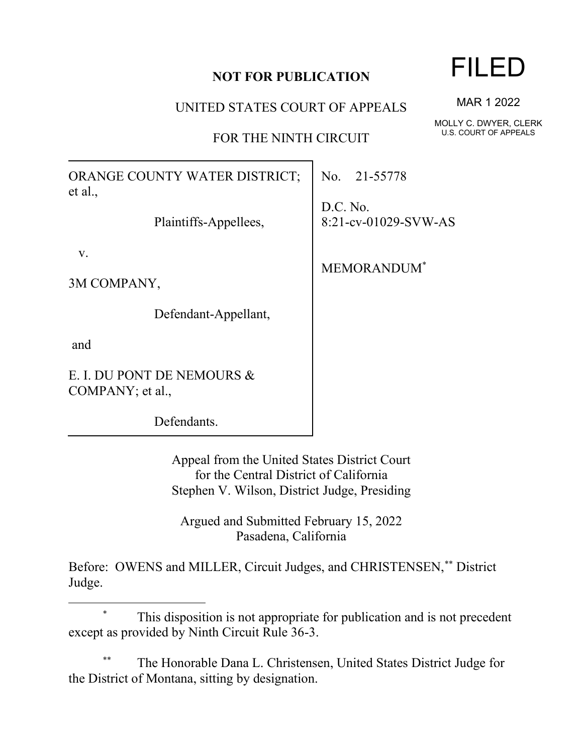## **NOT FOR PUBLICATION**

UNITED STATES COURT OF APPEALS

FOR THE NINTH CIRCUIT

ORANGE COUNTY WATER DISTRICT; et al.,

Plaintiffs-Appellees,

v.

3M COMPANY,

Defendant-Appellant,

and

E. I. DU PONT DE NEMOURS & COMPANY; et al.,

Defendants.

Appeal from the United States District Court for the Central District of California Stephen V. Wilson, District Judge, Presiding

Argued and Submitted February 15, 2022 Pasadena, California

Before: OWENS and MILLER, Circuit Judges, and CHRISTENSEN,\*\* District Judge.

This disposition is not appropriate for publication and is not precedent except as provided by Ninth Circuit Rule 36-3.

The Honorable Dana L. Christensen, United States District Judge for the District of Montana, sitting by designation.

FILED

MAR 1 2022

MOLLY C. DWYER, CLERK U.S. COURT OF APPEALS

No. 21-55778

D.C. No. 8:21-cv-01029-SVW-AS

MEMORANDUM\*

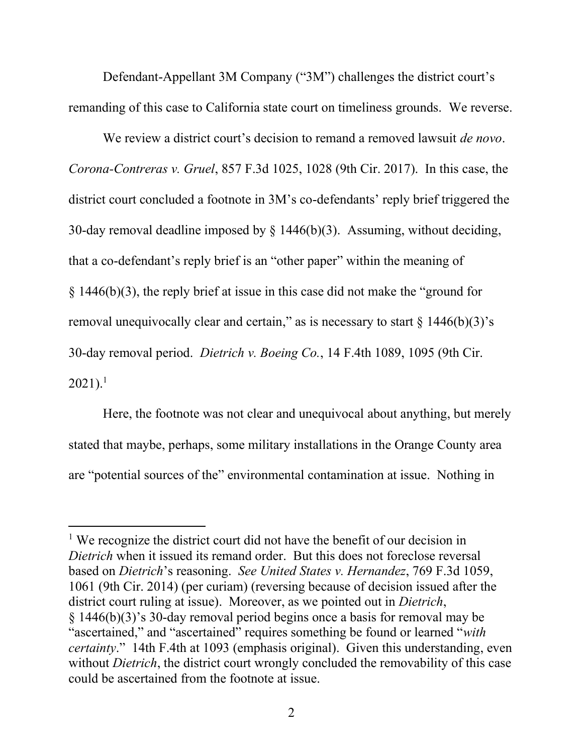Defendant-Appellant 3M Company ("3M") challenges the district court's remanding of this case to California state court on timeliness grounds. We reverse.

We review a district court's decision to remand a removed lawsuit *de novo*. *Corona-Contreras v. Gruel*, 857 F.3d 1025, 1028 (9th Cir. 2017). In this case, the district court concluded a footnote in 3M's co-defendants' reply brief triggered the 30-day removal deadline imposed by § 1446(b)(3). Assuming, without deciding, that a co-defendant's reply brief is an "other paper" within the meaning of § 1446(b)(3), the reply brief at issue in this case did not make the "ground for removal unequivocally clear and certain," as is necessary to start  $\S$  1446(b)(3)'s 30-day removal period. *Dietrich v. Boeing Co.*, 14 F.4th 1089, 1095 (9th Cir.  $2021$ ).<sup>1</sup>

Here, the footnote was not clear and unequivocal about anything, but merely stated that maybe, perhaps, some military installations in the Orange County area are "potential sources of the" environmental contamination at issue. Nothing in

<sup>&</sup>lt;sup>1</sup> We recognize the district court did not have the benefit of our decision in *Dietrich* when it issued its remand order. But this does not foreclose reversal based on *Dietrich*'s reasoning. *See United States v. Hernandez*, 769 F.3d 1059, 1061 (9th Cir. 2014) (per curiam) (reversing because of decision issued after the district court ruling at issue). Moreover, as we pointed out in *Dietrich*, § 1446(b)(3)'s 30-day removal period begins once a basis for removal may be "ascertained," and "ascertained" requires something be found or learned "*with certainty*." 14th F.4th at 1093 (emphasis original). Given this understanding, even without *Dietrich*, the district court wrongly concluded the removability of this case could be ascertained from the footnote at issue.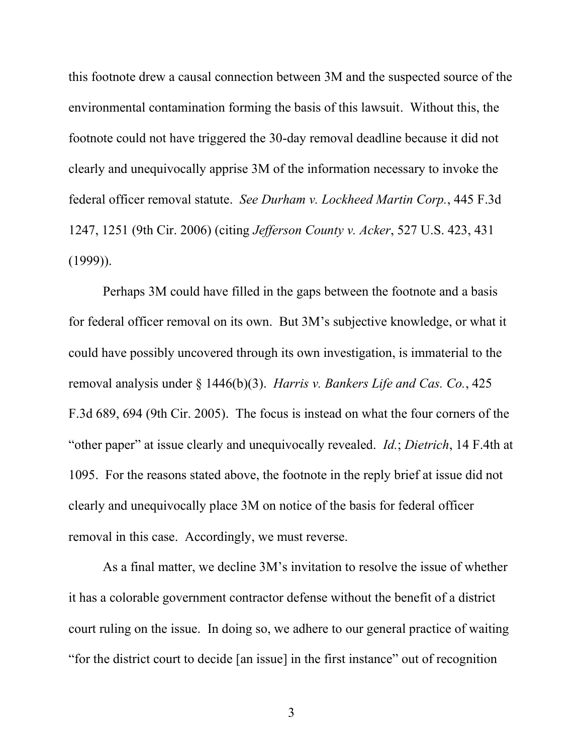this footnote drew a causal connection between 3M and the suspected source of the environmental contamination forming the basis of this lawsuit. Without this, the footnote could not have triggered the 30-day removal deadline because it did not clearly and unequivocally apprise 3M of the information necessary to invoke the federal officer removal statute. *See Durham v. Lockheed Martin Corp.*, 445 F.3d 1247, 1251 (9th Cir. 2006) (citing *Jefferson County v. Acker*, 527 U.S. 423, 431  $(1999)$ ).

Perhaps 3M could have filled in the gaps between the footnote and a basis for federal officer removal on its own. But 3M's subjective knowledge, or what it could have possibly uncovered through its own investigation, is immaterial to the removal analysis under § 1446(b)(3). *Harris v. Bankers Life and Cas. Co.*, 425 F.3d 689, 694 (9th Cir. 2005). The focus is instead on what the four corners of the "other paper" at issue clearly and unequivocally revealed. *Id.*; *Dietrich*, 14 F.4th at 1095. For the reasons stated above, the footnote in the reply brief at issue did not clearly and unequivocally place 3M on notice of the basis for federal officer removal in this case. Accordingly, we must reverse.

As a final matter, we decline 3M's invitation to resolve the issue of whether it has a colorable government contractor defense without the benefit of a district court ruling on the issue. In doing so, we adhere to our general practice of waiting "for the district court to decide [an issue] in the first instance" out of recognition

3